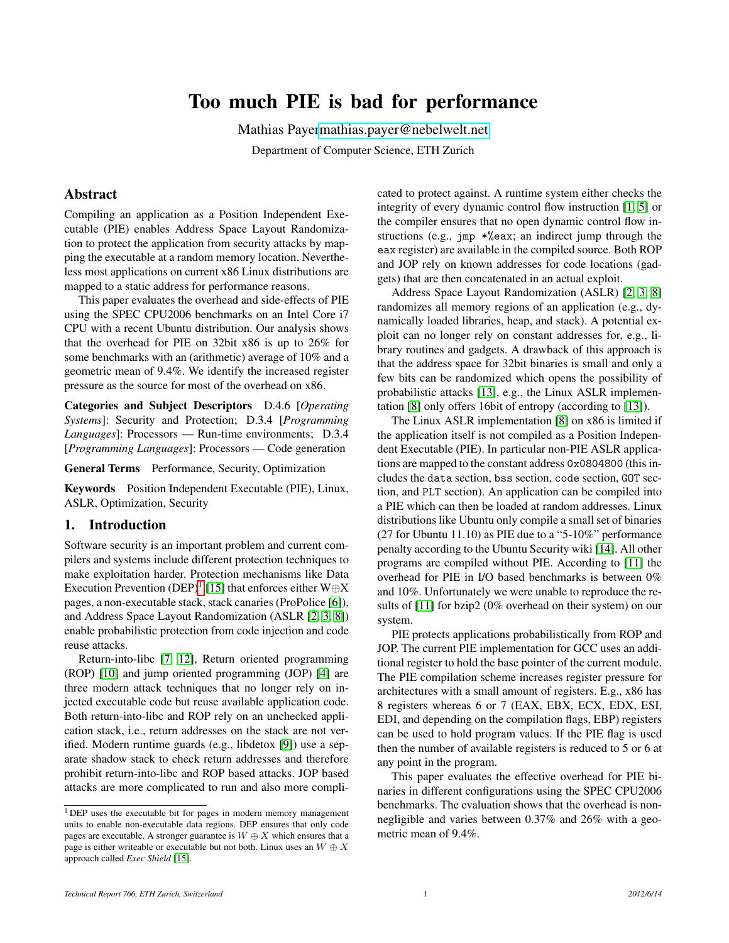# Too much PIE is bad for performance

Mathias Paye[rmathias.payer@nebelwelt.net](mailto:mathias.payer@nebelwelt.net)

Department of Computer Science, ETH Zurich

# Abstract

Compiling an application as a Position Independent Executable (PIE) enables Address Space Layout Randomization to protect the application from security attacks by mapping the executable at a random memory location. Nevertheless most applications on current x86 Linux distributions are mapped to a static address for performance reasons.

This paper evaluates the overhead and side-effects of PIE using the SPEC CPU2006 benchmarks on an Intel Core i7 CPU with a recent Ubuntu distribution. Our analysis shows that the overhead for PIE on 32bit x86 is up to 26% for some benchmarks with an (arithmetic) average of 10% and a geometric mean of 9.4%. We identify the increased register pressure as the source for most of the overhead on x86.

Categories and Subject Descriptors D.4.6 [*Operating Systems*]: Security and Protection; D.3.4 [*Programming Languages*]: Processors — Run-time environments; D.3.4 [*Programming Languages*]: Processors — Code generation

General Terms Performance, Security, Optimization

Keywords Position Independent Executable (PIE), Linux, ASLR, Optimization, Security

# 1. Introduction

Software security is an important problem and current compilers and systems include different protection techniques to make exploitation harder. Protection mechanisms like Data Execution Prevention (DEP)<sup>[1](#page-0-0)</sup> [\[15\]](#page-2-0) that enforces either W⊕X pages, a non-executable stack, stack canaries (ProPolice [\[6\]](#page-2-1)), and Address Space Layout Randomization (ASLR [\[2,](#page-2-2) [3,](#page-2-3) [8\]](#page-2-4)) enable probabilistic protection from code injection and code reuse attacks.

Return-into-libc [\[7,](#page-2-5) [12\]](#page-2-6), Return oriented programming (ROP) [\[10\]](#page-2-7) and jump oriented programming (JOP) [\[4\]](#page-2-8) are three modern attack techniques that no longer rely on injected executable code but reuse available application code. Both return-into-libc and ROP rely on an unchecked application stack, i.e., return addresses on the stack are not verified. Modern runtime guards (e.g., libdetox [\[9\]](#page-2-9)) use a separate shadow stack to check return addresses and therefore prohibit return-into-libc and ROP based attacks. JOP based attacks are more complicated to run and also more complicated to protect against. A runtime system either checks the integrity of every dynamic control flow instruction [\[1,](#page-2-10) [5\]](#page-2-11) or the compiler ensures that no open dynamic control flow instructions (e.g., jmp \*%eax; an indirect jump through the eax register) are available in the compiled source. Both ROP and JOP rely on known addresses for code locations (gadgets) that are then concatenated in an actual exploit.

Address Space Layout Randomization (ASLR) [\[2,](#page-2-2) [3,](#page-2-3) [8\]](#page-2-4) randomizes all memory regions of an application (e.g., dynamically loaded libraries, heap, and stack). A potential exploit can no longer rely on constant addresses for, e.g., library routines and gadgets. A drawback of this approach is that the address space for 32bit binaries is small and only a few bits can be randomized which opens the possibility of probabilistic attacks [\[13\]](#page-2-12), e.g., the Linux ASLR implementation [\[8\]](#page-2-4) only offers 16bit of entropy (according to [\[13\]](#page-2-12)).

The Linux ASLR implementation [\[8\]](#page-2-4) on x86 is limited if the application itself is not compiled as a Position Independent Executable (PIE). In particular non-PIE ASLR applications are mapped to the constant address 0x0804800 (this includes the data section, bss section, code section, GOT section, and PLT section). An application can be compiled into a PIE which can then be loaded at random addresses. Linux distributions like Ubuntu only compile a small set of binaries (27 for Ubuntu 11.10) as PIE due to a "5-10%" performance penalty according to the Ubuntu Security wiki [\[14\]](#page-2-13). All other programs are compiled without PIE. According to [\[11\]](#page-2-14) the overhead for PIE in I/O based benchmarks is between 0% and 10%. Unfortunately we were unable to reproduce the results of [\[11\]](#page-2-14) for bzip2 (0% overhead on their system) on our system.

PIE protects applications probabilistically from ROP and JOP. The current PIE implementation for GCC uses an additional register to hold the base pointer of the current module. The PIE compilation scheme increases register pressure for architectures with a small amount of registers. E.g., x86 has 8 registers whereas 6 or 7 (EAX, EBX, ECX, EDX, ESI, EDI, and depending on the compilation flags, EBP) registers can be used to hold program values. If the PIE flag is used then the number of available registers is reduced to 5 or 6 at any point in the program.

This paper evaluates the effective overhead for PIE binaries in different configurations using the SPEC CPU2006 benchmarks. The evaluation shows that the overhead is nonnegligible and varies between 0.37% and 26% with a geometric mean of 9.4%.

<span id="page-0-0"></span><sup>&</sup>lt;sup>1</sup>DEP uses the executable bit for pages in modern memory management units to enable non-executable data regions. DEP ensures that only code pages are executable. A stronger guarantee is  $W \oplus X$  which ensures that a page is either writeable or executable but not both. Linux uses an  $W \oplus X$ approach called *Exec Shield* [\[15\]](#page-2-0).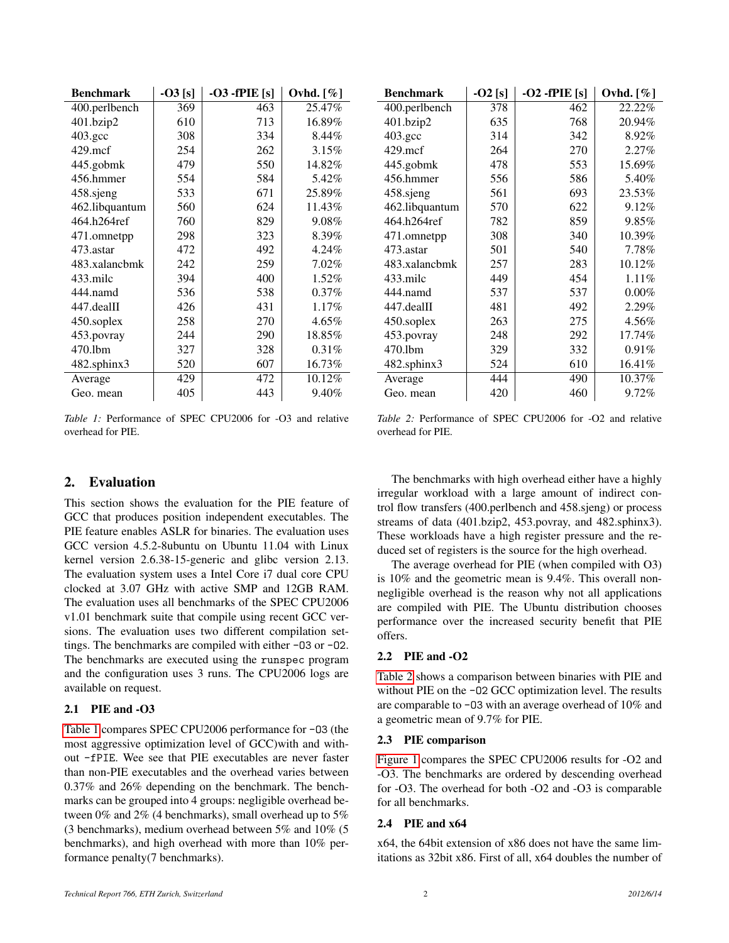<span id="page-1-0"></span>

| <b>Benchmark</b>   | $-03$ [s] | $-03$ -fPIE [s] | Ovhd. $[\%]$ |
|--------------------|-----------|-----------------|--------------|
| 400.perlbench      | 369       | 463             | 25.47%       |
| 401.bzip2          | 610       | 713             | 16.89%       |
| $403.\mathrm{gcc}$ | 308       | 334             | 8.44%        |
| $429$ .mcf         | 254       | 262             | 3.15%        |
| 445.gobmk          | 479       | 550             | 14.82%       |
| 456.hmmer          | 554       | 584             | 5.42%        |
| 458.sjeng          | 533       | 671             | 25.89%       |
| 462.libquantum     | 560       | 624             | 11.43%       |
| 464.h264ref        | 760       | 829             | 9.08%        |
| 471.omnetpp        | 298       | 323             | 8.39%        |
| 473.astar          | 472       | 492             | 4.24%        |
| 483.xalancbmk      | 242       | 259             | 7.02%        |
| 433.milc           | 394       | 400             | 1.52%        |
| 444.namd           | 536       | 538             | $0.37\%$     |
| $447$ .dealII      | 426       | 431             | 1.17%        |
| 450.soplex         | 258       | 270             | 4.65%        |
| 453.povray         | 244       | 290             | 18.85%       |
| 470.1bm            | 327       | 328             | $0.31\%$     |
| 482.sphinx3        | 520       | 607             | 16.73%       |
| Average            | 429       | 472             | 10.12%       |
| Geo. mean          | 405       | 443             | 9.40%        |

*Table 1:* Performance of SPEC CPU2006 for -O3 and relative overhead for PIE.

# 2. Evaluation

This section shows the evaluation for the PIE feature of GCC that produces position independent executables. The PIE feature enables ASLR for binaries. The evaluation uses GCC version 4.5.2-8ubuntu on Ubuntu 11.04 with Linux kernel version 2.6.38-15-generic and glibc version 2.13. The evaluation system uses a Intel Core i7 dual core CPU clocked at 3.07 GHz with active SMP and 12GB RAM. The evaluation uses all benchmarks of the SPEC CPU2006 v1.01 benchmark suite that compile using recent GCC versions. The evaluation uses two different compilation settings. The benchmarks are compiled with either -O3 or -O2. The benchmarks are executed using the runspec program and the configuration uses 3 runs. The CPU2006 logs are available on request.

#### 2.1 PIE and -O3

[Table 1](#page-1-0) compares SPEC CPU2006 performance for -O3 (the most aggressive optimization level of GCC)with and without -fPIE. Wee see that PIE executables are never faster than non-PIE executables and the overhead varies between 0.37% and 26% depending on the benchmark. The benchmarks can be grouped into 4 groups: negligible overhead between 0% and 2% (4 benchmarks), small overhead up to 5% (3 benchmarks), medium overhead between 5% and 10% (5 benchmarks), and high overhead with more than 10% performance penalty(7 benchmarks).

<span id="page-1-1"></span>

| <b>Benchmark</b>    | $-02$ [s] | $-02$ -fPIE [s] | Ovhd. $[\%]$ |
|---------------------|-----------|-----------------|--------------|
| 400.perlbench       | 378       | 462             | 22.22%       |
| 401.bzip2           | 635       | 768             | 20.94%       |
| $403.\text{gcc}$    | 314       | 342             | 8.92%        |
| $429$ .mcf          | 264       | 270             | $2.27\%$     |
| 445.gobmk           | 478       | 553             | 15.69%       |
| 456.hmmer           | 556       | 586             | 5.40%        |
| 458.sjeng           | 561       | 693             | 23.53%       |
| 462.libquantum      | 570       | 622             | 9.12%        |
| 464.h264ref         | 782       | 859             | $9.85\%$     |
| 471.omnetpp         | 308       | 340             | 10.39%       |
| 473.astar           | 501       | 540             | 7.78%        |
| 483.xalancbmk       | 257       | 283             | 10.12%       |
| 433.milc            | 449       | 454             | 1.11%        |
| 444.namd            | 537       | 537             | $0.00\%$     |
| 447.dealII          | 481       | 492             | 2.29%        |
| 450.soplex          | 263       | 275             | 4.56%        |
| 453.povray          | 248       | 292             | 17.74%       |
| 470.1 <sub>bm</sub> | 329       | 332             | 0.91%        |
| 482.sphinx3         | 524       | 610             | 16.41%       |
| Average             | 444       | 490             | 10.37%       |
| Geo. mean           | 420       | 460             | $9.72\%$     |

*Table 2:* Performance of SPEC CPU2006 for -O2 and relative overhead for PIE.

The benchmarks with high overhead either have a highly irregular workload with a large amount of indirect control flow transfers (400.perlbench and 458.sjeng) or process streams of data (401.bzip2, 453.povray, and 482.sphinx3). These workloads have a high register pressure and the reduced set of registers is the source for the high overhead.

The average overhead for PIE (when compiled with O3) is 10% and the geometric mean is 9.4%. This overall nonnegligible overhead is the reason why not all applications are compiled with PIE. The Ubuntu distribution chooses performance over the increased security benefit that PIE offers.

#### 2.2 PIE and -O2

[Table 2](#page-1-1) shows a comparison between binaries with PIE and without PIE on the -O2 GCC optimization level. The results are comparable to -O3 with an average overhead of 10% and a geometric mean of 9.7% for PIE.

#### 2.3 PIE comparison

[Figure 1](#page-2-15) compares the SPEC CPU2006 results for -O2 and -O3. The benchmarks are ordered by descending overhead for -O3. The overhead for both -O2 and -O3 is comparable for all benchmarks.

## 2.4 PIE and x64

x64, the 64bit extension of x86 does not have the same limitations as 32bit x86. First of all, x64 doubles the number of